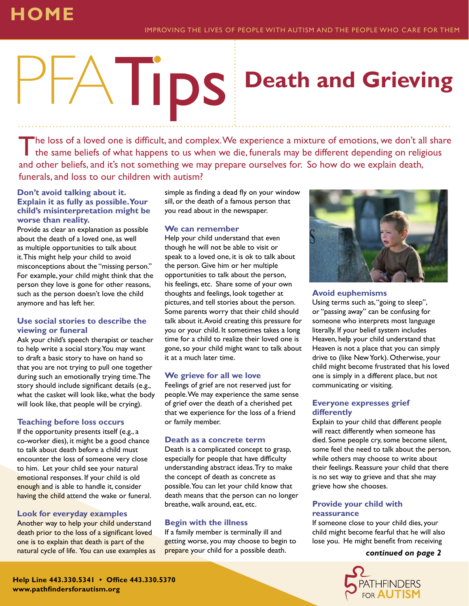## **HOME**

# **Death and Grieving**

The loss of a loved one is difficult, and complex. We experience a mixture of emotions, we don't all share the same beliefs of what happens to us when we die, funerals may be different depending on religious and other beliefs, and it's not something we may prepare ourselves for. So how do we explain death, funerals, and loss to our children with autism?

#### **Don't avoid talking about it. Explain it as fully as possible. Your child's misinterpretation might be worse than reality.**

Provide as clear an explanation as possible about the death of a loved one, as well as multiple opportunities to talk about it. This might help your child to avoid misconceptions about the "missing person." For example, your child might think that the person they love is gone for other reasons, such as the person doesn't love the child anymore and has left her.

#### **Use social stories to describe the viewing or funeral**

Ask your child's speech therapist or teacher to help write a social story. You may want to draft a basic story to have on hand so that you are not trying to pull one together during such an emotionally trying time. The story should include significant details (e.g., what the casket will look like, what the body will look like, that people will be crying).

#### **Teaching before loss occurs**

If the opportunity presents itself (e.g., a co-worker dies), it might be a good chance to talk about death before a child must encounter the loss of someone very close to him. Let your child see your natural emotional responses. If your child is old enough and is able to handle it, consider having the child attend the wake or funeral.

#### **Look for everyday examples**

Another way to help your child understand death prior to the loss of a significant loved one is to explain that death is part of the natural cycle of life. You can use examples as

simple as finding a dead fly on your window sill, or the death of a famous person that you read about in the newspaper.

#### **We can remember**

Help your child understand that even though he will not be able to visit or speak to a loved one, it is ok to talk about the person. Give him or her multiple opportunities to talk about the person, his feelings, etc. Share some of your own thoughts and feelings, look together at pictures, and tell stories about the person. Some parents worry that their child should talk about it. Avoid creating this pressure for you or your child. It sometimes takes a long time for a child to realize their loved one is gone, so your child might want to talk about it at a much later time.

#### **We grieve for all we love**

Feelings of grief are not reserved just for people. We may experience the same sense of grief over the death of a cherished pet that we experience for the loss of a friend or family member.

#### **Death as a concrete term**

Death is a complicated concept to grasp, especially for people that have difficulty understanding abstract ideas. Try to make the concept of death as concrete as possible. You can let your child know that death means that the person can no longer breathe, walk around, eat, etc.

#### **Begin with the illness**

If a family member is terminally ill and getting worse, you may choose to begin to prepare your child for a possible death.



#### **Avoid euphemisms**

Using terms such as, "going to sleep", or "passing away" can be confusing for someone who interprets most language literally. If your belief system includes Heaven, help your child understand that Heaven is not a place that you can simply drive to (like New York). Otherwise, your child might become frustrated that his loved one is simply in a different place, but not communicating or visiting.

#### **Everyone expresses grief differently**

Explain to your child that different people will react differently when someone has died. Some people cry, some become silent, some feel the need to talk about the person, while others may choose to write about their feelings. Reassure your child that there is no set way to grieve and that she may grieve how she chooses.

#### **Provide your child with reassurance**

If someone close to your child dies, your child might become fearful that he will also lose you. He might benefit from receiving

#### *continued on page 2*